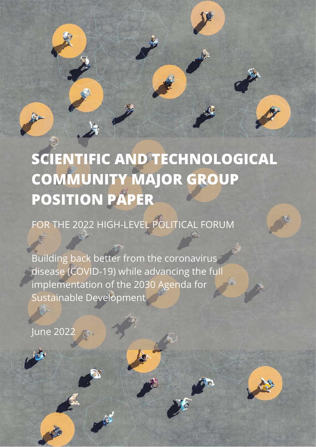

# **SCIENTIFIC AND TECHNOLOGICAL COMMUNITY MAJOR GROUP POSITION PAPER**

FOR THE 2022 HIGH-LEVEL POLITICAL FORUM

Building back better from the coronavirus disease (COVID-19) while advancing the full<br>implementation of the 2030 Agenda for implementation of the 2030 Agenda for Sustainable Development

June 2022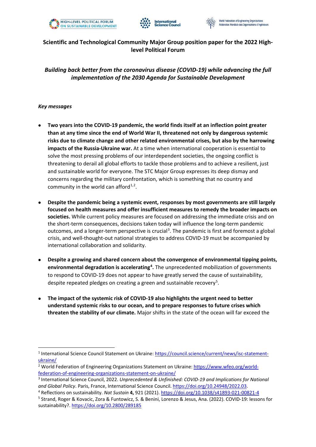



#### **Scientific and Technological Community Major Group position paper for the 2022 Highlevel Political Forum**

*Building back better from the coronavirus disease (COVID-19) while advancing the full implementation of the 2030 Agenda for Sustainable Development*

#### *Key messages*

- **Two years into the COVID-19 pandemic, the world finds itself at an inflection point greater than at any time since the end of World War II, threatened not only by dangerous systemic risks due to climate change and other related environmental crises, but also by the harrowing impacts of the Russia-Ukraine war.** At a time when international cooperation is essential to solve the most pressing problems of our interdependent societies, the ongoing conflict is threatening to derail all global efforts to tackle those problems and to achieve a resilient, just and sustainable world for everyone. The STC Major Group expresses its deep dismay and concerns regarding the military confrontation, which is something that no country and community in the world can afford $1,2$  $1,2$  $1,2$ .
- **Despite the pandemic being a systemic event, responses by most governments are still largely focused on health measures and offer insufficient measures to remedy the broader impacts on societies.** While current policy measures are focused on addressing the immediate crisis and on the short-term consequences, decisions taken today will influence the long-term pandemic outcomes, and a longer-term perspective is crucial<sup>[3](#page-1-2)</sup>. The pandemic is first and foremost a global crisis, and well-thought-out national strategies to address COVID-19 must be accompanied by international collaboration and solidarity.
- **Despite a growing and shared concern about the convergence of environmental tipping points, environmental degradation is accelerating[4](#page-1-3) .** The unprecedented mobilization of governments to respond to COVID-19 does not appear to have greatly served the cause of sustainability, despite repeated pledges on creating a green and sustainable recovery<sup>[5](#page-1-4)</sup>.
- **The impact of the systemic risk of COVID-19 also highlights the urgent need to better understand systemic risks to our ocean, and to prepare responses to future crises which threaten the stability of our climate.** Major shifts in the state of the ocean will far exceed the

<span id="page-1-0"></span><sup>1</sup> International Science Council Statement on Ukraine: [https://council.science/current/news/isc-statement](https://council.science/current/news/isc-statement-ukraine/)ukraine/<br><sup>2</sup> World Federation of Engineering Organizations Statement on Ukraine: [https://www.wfeo.org/world-](https://www.wfeo.org/world-federation-of-engineering-organizations-statement-on-ukraine/)

<span id="page-1-1"></span>[federation-of-engineering-organizations-statement-on-ukraine/](https://www.wfeo.org/world-federation-of-engineering-organizations-statement-on-ukraine/)

<span id="page-1-2"></span><sup>3</sup> International Science Council, 2022. *Unprecedented & Unfinished: COVID-19 and Implications for National and Global Policy*. Paris, France, International Science Council[. https://doi.org/10.24948/2022.03.](https://doi.org/10.24948/2022.03) 4 Reflections on sustainability. *Nat Sustain* **4,** 921 (2021)[. https://doi.org/10.1038/s41893-021-00821-4](https://doi.org/10.1038/s41893-021-00821-4)

<span id="page-1-4"></span><span id="page-1-3"></span><sup>5</sup> Strand, Roger & Kovacic, Zora & Funtowicz, S. & Benini, Lorenzo & Jesus, Ana. (2022). COVID-19: lessons for sustainability?.<https://doi.org/10.2800/289185>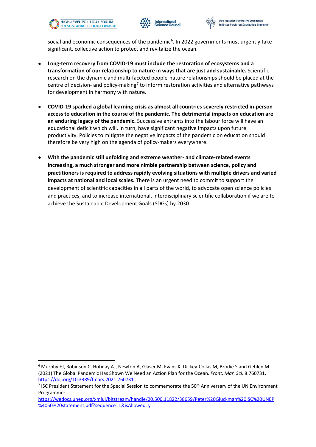



social and economic consequences of the pandemic<sup>[6](#page-2-0)</sup>. In 2022 governments must urgently take significant, collective action to protect and revitalize the ocean.

- **Long-term recovery from COVID-19 must include the restoration of ecosystems and a transformation of our relationship to nature in ways that are just and sustainable.** Scientific research on the dynamic and multi-faceted people-nature relationships should be placed at the centre of decision- and policy-making<sup>[7](#page-2-1)</sup> to inform restoration activities and alternative pathways for development in harmony with nature.
- **COVID-19 sparked a global learning crisis as almost all countries severely restricted in-person access to education in the course of the pandemic. The detrimental impacts on education are an enduring legacy of the pandemic.** Successive entrants into the labour force will have an educational deficit which will, in turn, have significant negative impacts upon future productivity. Policies to mitigate the negative impacts of the pandemic on education should therefore be very high on the agenda of policy-makers everywhere.
- **With the pandemic still unfolding and extreme weather- and climate-related events increasing, a much stronger and more nimble partnership between science, policy and practitioners is required to address rapidly evolving situations with multiple drivers and varied impacts at national and local scales.** There is an urgent need to commit to support the development of scientific capacities in all parts of the world, to advocate open science policies and practices, and to increase international, interdisciplinary scientific collaboration if we are to achieve the Sustainable Development Goals (SDGs) by 2030.

<span id="page-2-0"></span><sup>6</sup> Murphy EJ, Robinson C, Hobday AJ, Newton A, Glaser M, Evans K, Dickey-Collas M, Brodie S and Gehlen M (2021) The Global Pandemic Has Shown We Need an Action Plan for the Ocean. *Front. Mar. Sci*. 8:760731. <https://doi.org/10.3389/fmars.2021.760731>

<span id="page-2-1"></span><sup>&</sup>lt;sup>7</sup> ISC President Statement for the Special Session to commemorate the 50<sup>th</sup> Anniversary of the UN Environment Programme:

[https://wedocs.unep.org/xmlui/bitstream/handle/20.500.11822/38659/Peter%20Gluckman%20ISC%20UNEP](https://wedocs.unep.org/xmlui/bitstream/handle/20.500.11822/38659/Peter%20Gluckman%20ISC%20UNEP%4050%20statement.pdf?sequence=1&isAllowed=y) [%4050%20statement.pdf?sequence=1&isAllowed=y](https://wedocs.unep.org/xmlui/bitstream/handle/20.500.11822/38659/Peter%20Gluckman%20ISC%20UNEP%4050%20statement.pdf?sequence=1&isAllowed=y)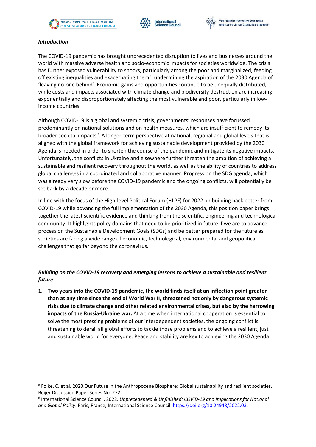





#### *Introduction*

The COVID-19 pandemic has brought unprecedented disruption to lives and businesses around the world with massive adverse health and socio-economic impacts for societies worldwide. The crisis has further exposed vulnerability to shocks, particularly among the poor and marginalized, feeding off existing inequalities and exacerbating them<sup>[8](#page-3-0)</sup>, undermining the aspiration of the 2030 Agenda of 'leaving no-one behind'. Economic gains and opportunities continue to be unequally distributed, while costs and impacts associated with climate change and biodiversity destruction are increasing exponentially and disproportionately affecting the most vulnerable and poor, particularly in lowincome countries.

Although COVID-19 is a global and systemic crisis, governments' responses have focussed predominantly on national solutions and on health measures, which are insufficient to remedy its broader societal impacts<sup>[9](#page-3-1)</sup>. A longer-term perspective at national, regional and global levels that is aligned with the global framework for achieving sustainable development provided by the 2030 Agenda is needed in order to shorten the course of the pandemic and mitigate its negative impacts. Unfortunately, the conflicts in Ukraine and elsewhere further threaten the ambition of achieving a sustainable and resilient recovery throughout the world, as well as the ability of countries to address global challenges in a coordinated and collaborative manner. Progress on the SDG agenda, which was already very slow before the COVID-19 pandemic and the ongoing conflicts, will potentially be set back by a decade or more.

In line with the focus of the High-level Political Forum (HLPF) for 2022 on building back better from COVID-19 while advancing the full implementation of the 2030 Agenda, this position paper brings together the latest scientific evidence and thinking from the scientific, engineering and technological community. It highlights policy domains that need to be prioritized in future if we are to advance process on the Sustainable Development Goals (SDGs) and be better prepared for the future as societies are facing a wide range of economic, technological, environmental and geopolitical challenges that go far beyond the coronavirus.

#### *Building on the COVID-19 recovery and emerging lessons to achieve a sustainable and resilient future*

**1. Two years into the COVID-19 pandemic, the world finds itself at an inflection point greater than at any time since the end of World War II, threatened not only by dangerous systemic risks due to climate change and other related environmental crises, but also by the harrowing impacts of the Russia-Ukraine war.** At a time when international cooperation is essential to solve the most pressing problems of our interdependent societies, the ongoing conflict is threatening to derail all global efforts to tackle those problems and to achieve a resilient, just and sustainable world for everyone. Peace and stability are key to achieving the 2030 Agenda.

<span id="page-3-0"></span><sup>8</sup> Folke, C. et al. 2020.Our Future in the Anthropocene Biosphere: Global sustainability and resilient societies. Beijer Discussion Paper Series No. 272.

<span id="page-3-1"></span><sup>9</sup> International Science Council, 2022. *Unprecedented & Unfinished: COVID-19 and Implications for National and Global Policy*. Paris, France, International Science Council[. https://doi.org/10.24948/2022.03.](https://doi.org/10.24948/2022.03)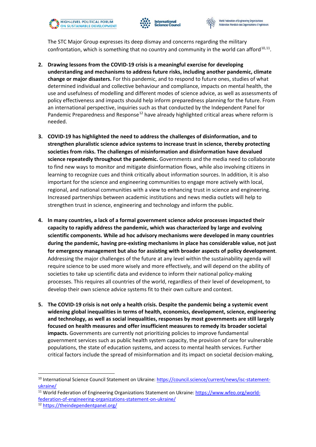



The STC Major Group expresses its deep dismay and concerns regarding the military confrontation, which is something that no country and community in the world can afford<sup>[10](#page-4-0),11</sup>.

- **2. Drawing lessons from the COVID-19 crisis is a meaningful exercise for developing understanding and mechanisms to address future risks, including another pandemic, climate change or major disasters.** For this pandemic, and to respond to future ones, studies of what determined individual and collective behaviour and compliance, impacts on mental health, the use and usefulness of modelling and different modes of science advice, as well as assessments of policy effectiveness and impacts should help inform preparedness planning for the future. From an international perspective, inquiries such as that conducted by the Independent Panel for Pandemic Preparedness and Response<sup>[12](#page-4-2)</sup> have already highlighted critical areas where reform is needed.
- **3. COVID-19 has highlighted the need to address the challenges of disinformation, and to strengthen pluralistic science advice systems to increase trust in science, thereby protecting societies from risks. The challenges of misinformation and disinformation have devalued science repeatedly throughout the pandemic.** Governments and the media need to collaborate to find new ways to monitor and mitigate disinformation flows, while also involving citizens in learning to recognize cues and think critically about information sources. In addition, it is also important for the science and engineering communities to engage more actively with local, regional, and national communities with a view to enhancing trust in science and engineering. Increased partnerships between academic institutions and news media outlets will help to strengthen trust in science, engineering and technology and inform the public.
- **4. In many countries, a lack of a formal government science advice processes impacted their capacity to rapidly address the pandemic, which was characterized by large and evolving scientific components. While ad hoc advisory mechanisms were developed in many countries during the pandemic, having pre-existing mechanisms in place has considerable value, not just for emergency management but also for assisting with broader aspects of policy development**. Addressing the major challenges of the future at any level within the sustainability agenda will require science to be used more wisely and more effectively, and will depend on the ability of societies to take up scientific data and evidence to inform their national policy-making processes. This requires all countries of the world, regardless of their level of development, to develop their own science advice systems fit to their own culture and context.
- **5. The COVID-19 crisis is not only a health crisis. Despite the pandemic being a systemic event widening global inequalities in terms of health, economics, development, science, engineering and technology, as well as social inequalities, responses by most governments are still largely focused on health measures and offer insufficient measures to remedy its broader societal impacts.** Governments are currently not prioritizing policies to improve fundamental government services such as public health system capacity, the provision of care for vulnerable populations, the state of education systems, and access to mental health services. Further critical factors include the spread of misinformation and its impact on societal decision-making,

<span id="page-4-0"></span><sup>&</sup>lt;sup>10</sup> International Science Council Statement on Ukraine[: https://council.science/current/news/isc-statement-](https://council.science/current/news/isc-statement-ukraine/)

<span id="page-4-1"></span>ukraine/<br><sup>11</sup> World Federation of Engineering Organizations Statement on Ukraine[: https://www.wfeo.org/world](https://www.wfeo.org/world-federation-of-engineering-organizations-statement-on-ukraine/)[federation-of-engineering-organizations-statement-on-ukraine/](https://www.wfeo.org/world-federation-of-engineering-organizations-statement-on-ukraine/) 12 <https://theindependentpanel.org/>

<span id="page-4-2"></span>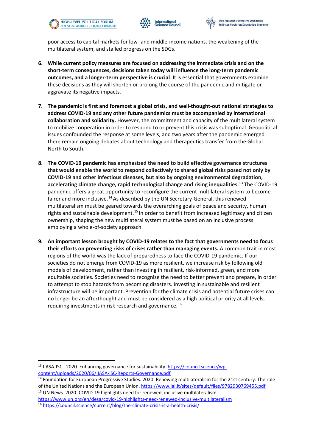



poor access to capital markets for low- and middle-income nations, the weakening of the multilateral system, and stalled progress on the SDGs.

- **6. While current policy measures are focused on addressing the immediate crisis and on the short-term consequences, decisions taken today will influence the long-term pandemic outcomes, and a longer-term perspective is crucial**. It is essential that governments examine these decisions as they will shorten or prolong the course of the pandemic and mitigate or aggravate its negative impacts.
- **7. The pandemic is first and foremost a global crisis, and well-thought-out national strategies to address COVID-19 and any other future pandemics must be accompanied by international collaboration and solidarity.** However, the commitment and capacity of the multilateral system to mobilize cooperation in order to respond to or prevent this crisis was suboptimal. Geopolitical issues confounded the response at some levels, and two years after the pandemic emerged there remain ongoing debates about technology and therapeutics transfer from the Global North to South.
- **8. The COVID-19 pandemic has emphasized the need to build effective governance structures that would enable the world to respond collectively to shared global risks posed not only by COVID-19 and other infectious diseases, but also by ongoing environmental degradation, accelerating climate change, rapid technological change and rising inequalities.[13](#page-5-0)** The COVID-19 pandemic offers a great opportunity to reconfigure the current multilateral system to become fairer and more inclusive.<sup>[14](#page-5-1)</sup> As described by the UN Secretary-General, this renewed multilateralism must be geared towards the overarching goals of peace and security, human rights and sustainable development.<sup>[15](#page-5-2)</sup> In order to benefit from increased legitimacy and citizen ownership, shaping the new multilateral system must be based on an inclusive process employing a whole-of-society approach.
- **9. An important lesson brought by COVID-19 relates to the fact that governments need to focus their efforts on preventing risks of crises rather than managing events.** A common trait in most regions of the world was the lack of preparedness to face the COVID-19 pandemic. If our societies do not emerge from COVID-19 as more resilient, we increase risk by following old models of development, rather than investing in resilient, risk-informed, green, and more equitable societies. Societies need to recognize the need to better prevent and prepare, in order to attempt to stop hazards from becoming disasters. Investing in sustainable and resilient infrastructure will be important. Prevention for the climate crisis and potential future crises can no longer be an afterthought and must be considered as a high political priority at all levels, requiring investments in risk research and governance.<sup>[16](#page-5-3)</sup>

<span id="page-5-0"></span><sup>&</sup>lt;sup>13</sup> IIASA-ISC . 2020. Enhancing governance for sustainability. [https://council.science/wp-](https://council.science/wp-content/uploads/2020/06/IIASA-ISC-Reports-Governance.pdf)

<span id="page-5-1"></span>content/uploads/2020/06/IIASA-ISC-Reports-Governance.pdf<br><sup>14</sup> Foundation for European Progressive Studies. 2020. Renewing multilateralism for the 21st century. The role of the United Nations and the European Union.<https://www.iai.it/sites/default/files/9782930769455.pdf>15 UN News. 2020. COVID-19 highlights need for renewed, inclusive multilateralism.

<span id="page-5-3"></span><span id="page-5-2"></span><https://www.un.org/en/desa/covid-19-highlights-need-renewed-inclusive-multilateralism>16 <https://council.science/current/blog/the-climate-crisis-is-a-health-crisis/>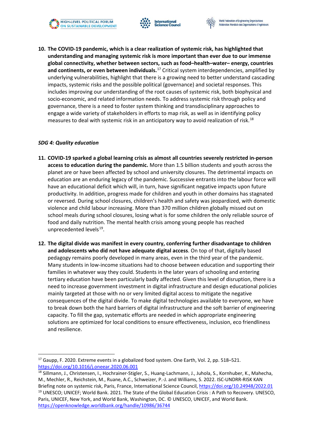





**10. The COVID-19 pandemic, which is a clear realization of systemic risk, has highlighted that understanding and managing systemic risk is more important than ever due to our immense global connectivity, whether between sectors, such as food–health–water– energy, countries**  and continents, or even between individuals.<sup>[17](#page-6-0)</sup> Critical system interdependencies, amplified by underlying vulnerabilities, highlight that there is a growing need to better understand cascading impacts, systemic risks and the possible political (governance) and societal responses. This includes improving our understanding of the root causes of systemic risk, both biophysical and socio-economic, and related information needs. To address systemic risk through policy and governance, there is a need to foster system thinking and transdisciplinary approaches to engage a wide variety of stakeholders in efforts to map risk, as well as in identifying policy measures to deal with systemic risk in an anticipatory way to avoid realization of risk.<sup>[18](#page-6-1)</sup>

#### *SDG 4: Quality education*

- **11. COVID-19 sparked a global learning crisis as almost all countries severely restricted in-person access to education during the pandemic.** More than 1.5 billion students and youth across the planet are or have been affected by school and university closures. The detrimental impacts on education are an enduring legacy of the pandemic. Successive entrants into the labour force will have an educational deficit which will, in turn, have significant negative impacts upon future productivity. In addition, progress made for children and youth in other domains has stagnated or reversed. During school closures, children's health and safety was jeopardized, with domestic violence and child labour increasing. More than 370 million children globally missed out on school meals during school closures, losing what is for some children the only reliable source of food and daily nutrition. The mental health crisis among young people has reached unprecedented levels<sup>[19](#page-6-2)</sup>.
- **12. The digital divide was manifest in every country, conferring further disadvantage to children and adolescents who did not have adequate digital access**. On top of that, digitally based pedagogy remains poorly developed in many areas, even in the third year of the pandemic. Many students in low-income situations had to choose between education and supporting their families in whatever way they could. Students in the later years of schooling and entering tertiary education have been particularly badly affected. Given this level of disruption, there is a need to increase government investment in digital infrastructure and design educational policies mainly targeted at those with no or very limited digital access to mitigate the negative consequences of the digital divide. To make digital technologies available to everyone, we have to break down both the hard barriers of digital infrastructure and the soft barrier of engineering capacity. To fill the gap, systematic efforts are needed in which appropriate engineering solutions are optimized for local conditions to ensure effectiveness, inclusion, eco friendliness and resilience.

<span id="page-6-0"></span> $17$  Gaupp, F. 2020. Extreme events in a globalized food system. One Earth, Vol. 2, pp. 518–521. <https://doi.org/10.1016/j.oneear.2020.06.001>

<span id="page-6-2"></span><span id="page-6-1"></span><sup>&</sup>lt;sup>18</sup> Sillmann, J., Christensen, I., Hochrainer-Stigler, S., Huang-Lachmann, J., Juhola, S., Kornhuber, K., Mahecha, M., Mechler, R., Reichstein, M., Ruane, A.C., Schweizer, P.-J. and Williams, S. 2022. ISC-UNDRR-RISK KAN Briefing note on systemic risk, Paris, France, International Science Council[, https://doi.org/10.24948/2022.01](https://doi.org/10.24948/2022.01) <sup>19</sup> UNESCO; UNICEF; World Bank. 2021. The State of the Global Education Crisis : A Path to Recovery. UNESCO, Paris, UNICEF, New York, and World Bank, Washington, DC. © UNESCO, UNICEF, and World Bank. <https://openknowledge.worldbank.org/handle/10986/36744>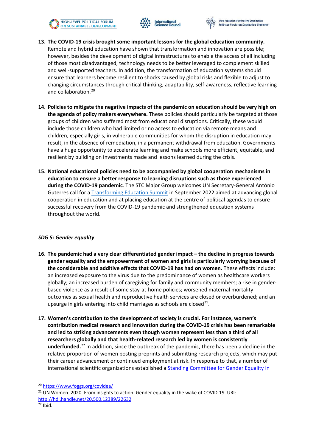





- **13. The COVID-19 crisis brought some important lessons for the global education community.** Remote and hybrid education have shown that transformation and innovation are possible; however, besides the development of digital infrastructures to enable the access of all including of those most disadvantaged, technology needs to be better leveraged to complement skilled and well-supported teachers. In addition, the transformation of education systems should ensure that learners become resilient to shocks caused by global risks and flexible to adjust to changing circumstances through critical thinking, adaptability, self-awareness, reflective learning and collaboration. [20](#page-7-0)
- **14. Policies to mitigate the negative impacts of the pandemic on education should be very high on the agenda of policy makers everywhere.** These policies should particularly be targeted at those groups of children who suffered most from educational disruptions. Critically, these would include those children who had limited or no access to education via remote means and children, especially girls, in vulnerable communities for whom the disruption in education may result, in the absence of remediation, in a permanent withdrawal from education. Governments have a huge opportunity to accelerate learning and make schools more efficient, equitable, and resilient by building on investments made and lessons learned during the crisis.
- **15. National educational policies need to be accompanied by global cooperation mechanisms in education to ensure a better response to learning disruptions such as those experienced during the COVID-19 pandemic**. The STC Major Group welcomes UN Secretary-General António Guterres call for [a Transforming Education Summit](https://sdg.iisd.org/news/transforming-education-summit-set-for-september-2022/) in September 2022 aimed at advancing global cooperation in education and at placing education at the centre of political agendas to ensure successful recovery from the COVID-19 pandemic and strengthened education systems throughout the world.

#### *SDG 5: Gender equality*

- **16. The pandemic had a very clear differentiated gender impact the decline in progress towards gender equality and the empowerment of women and girls is particularly worrying because of the considerable and additive effects that COVID-19 has had on women.** These effects include: an increased exposure to the virus due to the predominance of women as healthcare workers globally; an increased burden of caregiving for family and community members; a rise in genderbased violence as a result of some stay-at-home policies; worsened maternal mortality outcomes as sexual health and reproductive health services are closed or overburdened; and an upsurge in girls entering into child marriages as schools are closed<sup>[21](#page-7-1)</sup>.
- **17. Women's contribution to the development of society is crucial. For instance, women's contribution medical research and innovation during the COVID-19 crisis has been remarkable and led to striking advancements even though women represent less than a third of all researchers globally and that health-related research led by women is consistently underfunded.** [22](#page-7-2) In addition, since the outbreak of the pandemic, there has been a decline in the relative proportion of women posting preprints and submitting research projects, which may put their career advancement or continued employment at risk. In response to that, a number of international scientific organizations established a **Standing Committee for Gender Equality in**

<span id="page-7-1"></span><span id="page-7-0"></span><sup>&</sup>lt;sup>20</sup> https://www.foggs.org/covidea/<br><sup>21</sup> UN Women. 2020. From insights to action: Gender equality in the wake of COVID-19. URI: <http://hdl.handle.net/20.500.12389/22632>

<span id="page-7-2"></span> $22$  Ibid.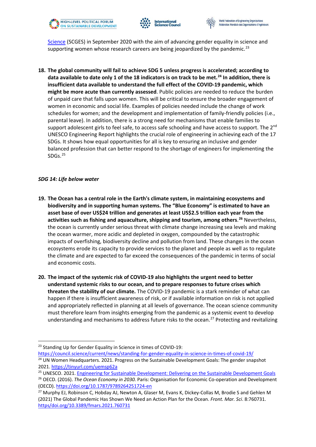



[Science](https://gender-equality-in-science.org/) (SCGES) in September 2020 with the aim of advancing gender equality in science and supporting women whose research careers are being jeopardized by the pandemic.<sup>[23](#page-8-0)</sup>

**18. The global community will fail to achieve SDG 5 unless progress is accelerated; according to data available to date only 1 of the 18 indicators is on track to be met. [24](#page-8-1) In addition, there is insufficient data available to understand the full effect of the COVID-19 pandemic, which might be more acute than currently assessed**. Public policies are needed to reduce the burden of unpaid care that falls upon women. This will be critical to ensure the broader engagement of women in economic and social life. Examples of policies needed include the change of work schedules for women; and the development and implementation of family-friendly policies (i.e., parental leave). In addition, there is a strong need for mechanisms that enable families to support adolescent girls to feel safe, to access safe schooling and have access to support. The 2<sup>nd</sup> UNESCO Engineering Report highlights the crucial role of engineering in achieving each of the 17 SDGs. It shows how equal opportunities for all is key to ensuring an inclusive and gender balanced profession that can better respond to the shortage of engineers for implementing the SDGs. [25](#page-8-2)

#### *SDG 14: Life below water*

- **19. The Ocean has a central role in the Earth's climate system, in maintaining ecosystems and biodiversity and in supporting human systems. The "Blue Economy" is estimated to have an asset base of over US\$24 trillion and generates at least US\$2.5 trillion each year from the activities such as fishing and aquaculture, shipping and tourism, among others**. **[26](#page-8-3)** Nevertheless, the ocean is currently under serious threat with climate change increasing sea levels and making the ocean warmer, more acidic and depleted in oxygen, compounded by the catastrophic impacts of overfishing, biodiversity decline and pollution from land. These changes in the ocean ecosystems erode its capacity to provide services to the planet and people as well as to regulate the climate and are expected to far exceed the consequences of the pandemic in terms of social and economic costs.
- **20. The impact of the systemic risk of COVID-19 also highlights the urgent need to better understand systemic risks to our ocean, and to prepare responses to future crises which threaten the stability of our climate.** The COVID-19 pandemic is a stark reminder of what can happen if there is insufficient awareness of risk, or if available information on risk is not applied and appropriately reflected in planning at all levels of governance. The ocean science community must therefore learn from insights emerging from the pandemic as a systemic event to develop understanding and mechanisms to address future risks to the ocean.<sup>[27](#page-8-4)</sup> Protecting and revitalizing

<span id="page-8-0"></span><sup>&</sup>lt;sup>23</sup> Standing Up for Gender Equality in Science in times of COVID-19:

<span id="page-8-1"></span>https://council.science/current/news/standing-for-gender-equality-in-science-in-times-of-covid-19/<br><sup>24</sup> UN Women Headquarters. 2021. Progress on the Sustainable Development Goals: The gender snapshot

<span id="page-8-2"></span><sup>2021.</sup> https://tinyurl.com/uemsp62a<br><sup>25</sup> UNESCO. 2021. Engineering for Sustainable Development: Delivering on the Sustainable Development Goals<br><sup>26</sup> OECD. (2016). *The Ocean Economy in 2030.* Paris: Organisation for Economi

<span id="page-8-3"></span><sup>(</sup>OECD).<https://doi.org/10.1787/9789264251724-en>

<span id="page-8-4"></span><sup>&</sup>lt;sup>27</sup> Murphy EJ, Robinson C, Hobday AJ, Newton A, Glaser M, Evans K, Dickey-Collas M, Brodie S and Gehlen M (2021) The Global Pandemic Has Shown We Need an Action Plan for the Ocean. *Front. Mar. Sci*. 8:760731. [https/doi.org/10.3389/fmars.2021.760731](https://intsciencecouncil.sharepoint.com/sites/CommunicationsTeam/Documents%20partages/General/Publications/2022%20HLPF%20Position%20Paper/https/doi.org/10.3389/fmars.2021.760731)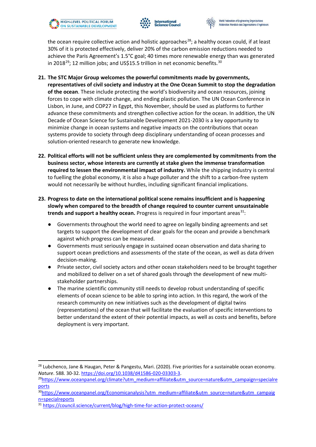





the ocean require collective action and holistic approaches<sup>[28](#page-9-0)</sup>; a healthy ocean could, if at least 30% of it is protected effectively, deliver 20% of the carbon emission reductions needed to achieve the Paris Agreement's 1.5°C goal; 40 times more renewable energy than was generated in 2018<sup>29</sup>; 12 million jobs; and US\$15.5 trillion in net economic benefits.<sup>[30](#page-9-2)</sup>

- **21. The STC Major Group welcomes the powerful commitments made by governments, representatives of civil society and industry at the One Ocean Summit to stop the degradation of the ocean**. These include protecting the world's biodiversity and ocean resources, joining forces to cope with climate change, and ending plastic pollution. The UN Ocean Conference in Lisbon, in June, and COP27 in Egypt, this November, should be used as platforms to further advance these commitments and strengthen collective action for the ocean. In addition, the UN Decade of Ocean Science for Sustainable Development 2021-2030 is a key opportunity to minimize change in ocean systems and negative impacts on the contributions that ocean systems provide to society through deep disciplinary understanding of ocean processes and solution-oriented research to generate new knowledge.
- **22. Political efforts will not be sufficient unless they are complemented by commitments from the business sector, whose interests are currently at stake given the immense transformation required to lessen the environmental impact of industry.** While the shipping industry is central to fuelling the global economy, it is also a huge polluter and the shift to a carbon-free system would not necessarily be without hurdles, including significant financial implications.
- **23. Progress to date on the international political scene remains insufficient and is happening slowly when compared to the breadth of change required to counter current unsustainable trends and support a healthy ocean.** Progress is required in four important areas<sup>[31](#page-9-3)</sup>:
	- Governments throughout the world need to agree on legally binding agreements and set targets to support the development of clear goals for the ocean and provide a benchmark against which progress can be measured.
	- Governments must seriously engage in sustained ocean observation and data sharing to support ocean predictions and assessments of the state of the ocean, as well as data driven decision-making.
	- Private sector, civil society actors and other ocean stakeholders need to be brought together and mobilized to deliver on a set of shared goals through the development of new multistakeholder partnerships.
	- The marine scientific community still needs to develop robust understanding of specific elements of ocean science to be able to spring into action. In this regard, the work of the research community on new initiatives such as the development of digital twins (representations) of the ocean that will facilitate the evaluation of specific interventions to better understand the extent of their potential impacts, as well as costs and benefits, before deployment is very important.

<span id="page-9-0"></span><sup>&</sup>lt;sup>28</sup> Lubchenco, Jane & Haugan, Peter & Pangestu, Mari. (2020). Five priorities for a sustainable ocean economy. *Nature*. 588. 30-32. [https://doi.org/10.1038/d41586-020-03303-3.](https://doi.org/10.1038/d41586-020-03303-3)<br><sup>29</sup>https://www.oceanpanel.org/climate?utm\_medium=affiliate&utm\_source=nature&utm\_campaign=specialre

<span id="page-9-1"></span>

<span id="page-9-2"></span>ports<br><sup>30</sup>https://www.oceanpanel.org/Economicanalysis?utm\_medium=affiliate&utm\_source=nature&utm\_campaig n=specialreports<br><sup>31</sup> <https://council.science/current/blog/high-time-for-action-protect-oceans/>

<span id="page-9-3"></span>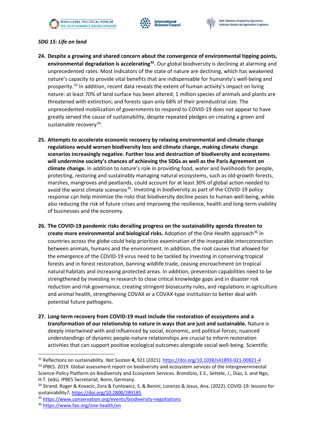





#### *SDG 15: Life on land*

- **24. Despite a growing and shared concern about the convergence of environmental tipping points, environmental degradation is accelerating[32.](#page-10-0)** Our global biodiversity is declining at alarming and unprecedented rates. Most indicators of the state of nature are declining, which has weakened nature's capacity to provide vital benefits that are indispensable for humanity's well-being and prosperity.<sup>[33](#page-10-1)</sup> In addition, recent data reveals the extent of human activity's impact on living nature: at least 70% of land surface has been altered; 1 million species of animals and plants are threatened with extinction; and forests span only 68% of their preindustrial size. The unprecedented mobilization of governments to respond to COVID-19 does not appear to have greatly served the cause of sustainability, despite repeated pledges on creating a green and sustainable recovery<sup>34</sup>.
- **25. Attempts to accelerate economic recovery by relaxing environmental and climate change regulations would worsen biodiversity loss and climate change, making climate change scenarios increasingly negative. Further loss and destruction of biodiversity and ecosystems will undermine society's chances of achieving the SDGs as well as the Paris Agreement on climate change.** In addition to nature's role in providing food, water and livelihoods for people, protecting, restoring and sustainably managing natural ecosystems, such as old-growth forests, marshes, mangroves and peatlands, could account for at least 30% of global action needed to avoid the worst climate scenarios<sup>[35](#page-10-3)</sup>. Investing in biodiversity as part of the COVID-19 policy response can help minimize the risks that biodiversity decline poses to human well-being, while also reducing the risk of future crises and improving the resilience, health and long-term viability of businesses and the economy.
- **26. The COVID-19 pandemic risks derailing progress on the sustainability agenda threaten to create more environmental and biological risks.** Adoption of the One Health approach<sup>[36](#page-10-4)</sup> in countries across the globe could help prioritize examination of the inseparable interconnection between animals, humans and the environment. In addition, the root causes that allowed for the emergence of the COVID-19 virus need to be tackled by investing in conserving tropical forests and in forest restoration, banning wildlife trade, ceasing encroachment on tropical natural habitats and increasing protected areas. In addition, prevention capabilities need to be strengthened by investing in research to close critical knowledge gaps and in disaster risk reduction and risk governance, creating stringent biosecurity rules, and regulations in agriculture and animal health, strengthening COVAX or a COVAX-type institution to better deal with potential future pathogens.
- **27. Long-term recovery from COVID-19 must include the restoration of ecosystems and a transformation of our relationship to nature in ways that are just and sustainable.** Nature is deeply intertwined with and influenced by social, economic, and political forces; nuanced understandings of dynamic people-nature relationships are crucial to inform restoration activities that can support positive ecological outcomes alongside social well-being. Scientific

<span id="page-10-0"></span><sup>32</sup> Reflections on sustainability. *Nat Sustain* **4,** 921 (2021)[. https://doi.org/10.1038/s41893-021-00821-4](https://doi.org/10.1038/s41893-021-00821-4)

<span id="page-10-1"></span><sup>33</sup> IPBES. 2019. Global assessment report on biodiversity and ecosystem services of the Intergovernmental Science-Policy Platform on Biodiversity and Ecosystem Services. Brondizio, E.S., Settele, J., Díaz, S. and Ngo, H.T. (eds). IPBES Secretariat, Bonn, Germany.

<span id="page-10-2"></span><sup>34</sup> Strand, Roger & Kovacic, Zora & Funtowicz, S. & Benini, Lorenzo & Jesus, Ana. (2022). COVID-19: lessons for sustainability?.<https://doi.org/10.2800/289185>

<span id="page-10-4"></span><span id="page-10-3"></span><sup>35</sup> <https://www.conservation.org/events/biodiversity-negotiations>36 <https://www.fao.org/one-health/en>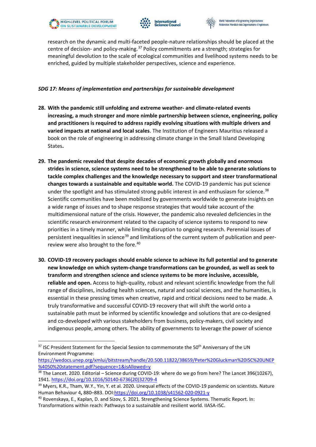





research on the dynamic and multi-faceted people-nature relationships should be placed at the centre of decision- and policy-making.<sup>[37](#page-11-0)</sup> Policy commitments are a strength; strategies for meaningful devolution to the scale of ecological communities and livelihood systems needs to be enriched, guided by multiple stakeholder perspectives, science and experience.

#### *SDG 17: Means of implementation and partnerships for sustainable development*

- **28. With the pandemic still unfolding and extreme weather- and climate-related events increasing, a much stronger and more nimble partnership between science, engineering, policy and practitioners is required to address rapidly evolving situations with multiple drivers and varied impacts at national and local scales**. The Institution of Engineers Mauritius released a book on the role of engineering in addressing climate change in the Small Island Developing States**.**
- **29. The pandemic revealed that despite decades of economic growth globally and enormous strides in science, science systems need to be strengthened to be able to generate solutions to tackle complex challenges and the knowledge necessary to support and steer transformational changes towards a sustainable and equitable world.** The COVID-19 pandemic has put science under the spotlight and has stimulated strong public interest in and enthusiasm for science.<sup>[38](#page-11-1)</sup> Scientific communities have been mobilized by governments worldwide to generate insights on a wide range of issues and to shape response strategies that would take account of the multidimensional nature of the crisis. However, the pandemic also revealed deficiencies in the scientific research environment related to the capacity of science systems to respond to new priorities in a timely manner, while limiting disruption to ongoing research. Perennial issues of persistent inequalities in science<sup>[39](#page-11-2)</sup> and limitations of the current system of publication and peer-review were also brought to the fore.<sup>[40](#page-11-3)</sup>
- **30. COVID-19 recovery packages should enable science to achieve its full potential and to generate new knowledge on which system-change transformations can be grounded, as well as seek to transform and strengthen science and science systems to be more inclusive, accessible, reliable and open.** Access to high-quality, robust and relevant scientific knowledge from the full range of disciplines, including health sciences, natural and social sciences, and the humanities, is essential in these pressing times when creative, rapid and critical decisions need to be made. A truly transformative and successful COVID-19 recovery that will shift the world onto a sustainable path must be informed by scientific knowledge and solutions that are co-designed and co-developed with various stakeholders from business, policy-makers, civil society and indigenous people, among others. The ability of governments to leverage the power of science

[https://wedocs.unep.org/xmlui/bitstream/handle/20.500.11822/38659/Peter%20Gluckman%20ISC%20UNEP](https://wedocs.unep.org/xmlui/bitstream/handle/20.500.11822/38659/Peter%20Gluckman%20ISC%20UNEP%4050%20statement.pdf?sequence=1&isAllowed=y) [%4050%20statement.pdf?sequence=1&isAllowed=y](https://wedocs.unep.org/xmlui/bitstream/handle/20.500.11822/38659/Peter%20Gluckman%20ISC%20UNEP%4050%20statement.pdf?sequence=1&isAllowed=y)

<span id="page-11-0"></span><sup>&</sup>lt;sup>37</sup> ISC President Statement for the Special Session to commemorate the 50<sup>th</sup> Anniversary of the UN Environment Programme:

<span id="page-11-1"></span><sup>&</sup>lt;sup>38</sup> The Lancet. 2020. Editorial – Science during COVID-19: where do we go from here? The Lancet 396(10267), 1941. [https://doi.org/10.1016/S0140-6736\(20\)32709-4](https://doi.org/10.1016/S0140-6736(20)32709-4)

<span id="page-11-2"></span><sup>&</sup>lt;sup>39</sup> Myers, K.R., Tham, W.Y., Yin, Y. et al. 2020. Unequal effects of the COVID-19 pandemic on scientists. Nature Human Behaviour 4**,** 880–883. DOI[:https://doi.org/10.1038/s41562-020-0921-y](https://doi.org/10.1038/s41562-020-0921-y)

<span id="page-11-3"></span><sup>40</sup> Rovenskaya, E., Kaplan, D. and Sizov, S. 2021. Strengthening Science Systems. Thematic Report. In: Transformations within reach: Pathways to a sustainable and resilient world. IIASA-ISC.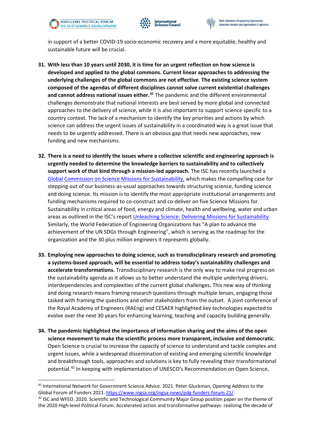



in support of a better COVID-19 socio-economic recovery and a more equitable, healthy and sustainable future will be crucial.

- **31. With less than 10 years until 2030, it is time for an urgent reflection on how science is developed and applied to the global commons. Current linear approaches to addressing the underlying challenges of the global commons are not effective**. **The existing science system composed of the agendas of different disciplines cannot solve current existential challenges and cannot address national issues either.[41](#page-12-0)** The pandemic and the different environmental challenges demonstrate that national interests are best served by more global and connected approaches to the delivery of science, while it is also important to support science specific to a country context. The lack of a mechanism to identify the key priorities and actions by which science can address the urgent issues of sustainability in a coordinated way is a great issue that needs to be urgently addressed. There is an obvious gap that needs new approaches, new funding and new mechanisms.
- **32. There is a need to identify the issues where a collective scientific and engineering approach is urgently needed to determine the knowledge barriers to sustainability and to collectively support work of that kind through a mission-led approach.** The ISC has recently launched a [Global Commission on Science Missions for Sustainability,](https://council.science/actionplan/funding-science-global-commission/) which makes the compelling case for stepping out of our business-as-usual approaches towards structuring science, funding science and doing science. Its mission is to identify the most appropriate institutional arrangements and funding mechanisms required to co-construct and co-deliver on five Science Missions for Sustainability in critical areas of food, energy and climate, health and wellbeing, water and urban areas as outlined in the ISC's report [Unleashing Science: Delivering Missions for Sustainability.](https://council.science/actionplan/funding-science-reports-resources/) Similarly, the World Federation of Engineering Organizations has "A plan to advance the achievement of the UN SDGs through Engineering", which is serving as the roadmap for the organization and the 30 plus million engineers it represents globally.
- **33. Employing new approaches to doing science, such as transdisciplinary research and promoting a systems-based approach, will be essential to address today's sustainability challenges and accelerate transformations.** Transdisciplinary research is the only way to make real progress on the sustainability agenda as it allows us to better understand the multiple underlying drivers, interdependencies and complexities of the current global challenges**.** This new way of thinking and doing research means framing research questions through multiple lenses, engaging those tasked with framing the questions and other stakeholders from the outset. A joint conference of the Royal Academy of Engineers (RAEng) and CESAER highlighted key technologies expected to evolve over the next 30 years for enhancing learning, teaching and capacity building generally.
- **34. The pandemic highlighted the importance of information sharing and the aims of the open science movement to make the scientific process more transparent, inclusive and democratic.**  Open Science is crucial to increase the capacity of science to understand and tackle complex and urgent issues, while a widespread dissemination of existing and emerging scientific knowledge and breakthrough tools, approaches and solutions is key to fully revealing their transformational potential.[42](#page-12-1) In keeping with implementation of UNESCO's Recommendation on Open Science,

<span id="page-12-0"></span><sup>&</sup>lt;sup>41</sup> International Network for Government Science Advice. 2021. Peter Gluckman, Opening Address to the Global Forum of Funders 2021.<https://www.ingsa.org/ingsa-news/pdg-funders-forum-21/>

<span id="page-12-1"></span><sup>&</sup>lt;sup>42</sup> ISC and WFEO. 2020. Scientific and Technological Community Major Group position paper on the theme of the 2020 High-level Political Forum. Accelerated action and transformative pathways: realizing the decade of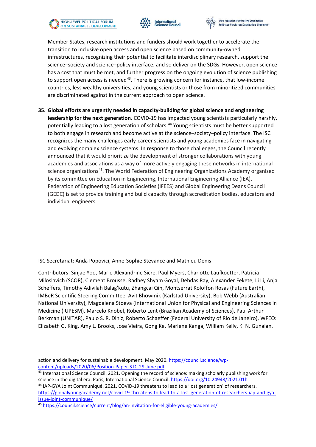





Member States, research institutions and funders should work together to accelerate the transition to inclusive open access and open science based on community-owned infrastructures, recognizing their potential to facilitate interdisciplinary research, support the science–society and science–policy interface, and so deliver on the SDGs. However, open science has a cost that must be met, and further progress on the ongoing evolution of science publishing to support open access is needed<sup>43</sup>. There is growing concern for instance, that low-income countries, less wealthy universities, and young scientists or those from minoritized communities are discriminated against in the current approach to open science.

**35. Global efforts are urgently needed in capacity-building for global science and engineering leadership for the next generation.** COVID-19 has impacted young scientists particularly harshly, potentially leading to a lost generation of scholars.<sup>[44](#page-13-1)</sup> Young scientists must be better supported to both engage in research and become active at the science–society–policy interface. The ISC recognizes the many challenges early-career scientists and young academies face in navigating and evolving complex science systems. In response to those challenges, the Council recently announced that it would prioritize the development of stronger collaborations with young academies and associations as a way of more actively engaging these networks in international science organizations<sup>[45](#page-13-2)</sup>. The World Federation of Engineering Organizations Academy organized by its committee on Education in Engineering, International Engineering Alliance (IEA), Federation of Engineering Education Societies (IFEES) and Global Engineering Deans Council (GEDC) is set to provide training and build capacity through accreditation bodies, educators and individual engineers.

ISC Secretariat: Anda Popovici, Anne-Sophie Stevance and Mathieu Denis

Contributors: Sinjae Yoo, Marie-Alexandrine Sicre, Paul Myers, Charlotte Laufkoetter, Patricia Miloslavich (SCOR), Clement Brousse, Radhey Shyam Goyal, Debdas Ray, Alexander Fekete, Li Li, Anja Scheffers, Timothy Adivilah Balag'kutu, Zhangcai Qin, Montserrat Koloffon Rosas (Future Earth), IMBeR Scientific Steering Committee, Avit Bhowmik (Karlstad University), Bob Webb (Australian National University), Magdalena Stoeva (International Union for Physical and Engineering Sciences in Medicine (IUPESM), Marcelo Knobel, Roberto Lent (Brazilian Academy of Sciences), Paul Arthur Berkman (UNITAR), Paulo S. R. Diniz, Roberto Schaeffer (Federal University of Rio de Janeiro), WFEO: Elizabeth G. King, Amy L. Brooks, Jose Vieira, Gong Ke, Marlene Kanga, William Kelly, K. N. Gunalan.

<span id="page-13-1"></span>44 IAP-GYA Joint Communiqué. 2021. COVID-19 threatens to lead to a 'lost generation' of researchers. [https://globalyoungacademy.net/covid-19-threatens-to-lead-to-a-lost-generation-of-researchers-iap-and-gya](https://globalyoungacademy.net/covid-19-threatens-to-lead-to-a-lost-generation-of-researchers-iap-and-gya-issue-joint-communique/)[issue-joint-communique/](https://globalyoungacademy.net/covid-19-threatens-to-lead-to-a-lost-generation-of-researchers-iap-and-gya-issue-joint-communique/)

action and delivery for sustainable development. May 2020. [https://council.science/wp](https://council.science/wp-content/uploads/2020/06/Position-Paper-STC-29-June.pdf)[content/uploads/2020/06/Position-Paper-STC-29-June.pdf](https://council.science/wp-content/uploads/2020/06/Position-Paper-STC-29-June.pdf)

<span id="page-13-0"></span><sup>43</sup> International Science Council. 2021. Opening the record of science: making scholarly publishing work for science in the digital era. Paris, International Science Council. [https://doi.org/10.24948/2021.01h](https://doi.org/10.24948/2021.01)

<span id="page-13-2"></span><sup>45</sup> <https://council.science/current/blog/an-invitation-for-eligible-young-academies/>